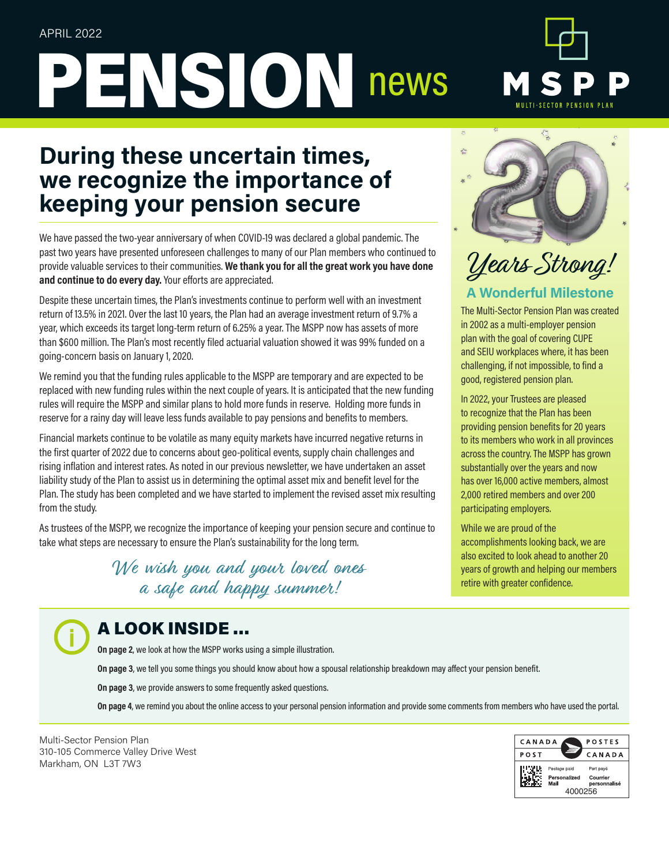# PENSION news



# **During these uncertain times, we recognize the importance of keeping your pension secure**

We have passed the two-year anniversary of when COVID-19 was declared a global pandemic. The past two years have presented unforeseen challenges to many of our Plan members who continued to provide valuable services to their communities. **We thank you for all the great work you have done and continue to do every day.** Your efforts are appreciated.

Despite these uncertain times, the Plan's investments continue to perform well with an investment return of 13.5% in 2021. Over the last 10 years, the Plan had an average investment return of 9.7% a year, which exceeds its target long-term return of 6.25% a year. The MSPP now has assets of more than \$600 million. The Plan's most recently filed actuarial valuation showed it was 99% funded on a going-concern basis on January 1, 2020.

We remind you that the funding rules applicable to the MSPP are temporary and are expected to be replaced with new funding rules within the next couple of years. It is anticipated that the new funding rules will require the MSPP and similar plans to hold more funds in reserve. Holding more funds in reserve for a rainy day will leave less funds available to pay pensions and benefits to members.

Financial markets continue to be volatile as many equity markets have incurred negative returns in the first quarter of 2022 due to concerns about geo-political events, supply chain challenges and rising inflation and interest rates. As noted in our previous newsletter, we have undertaken an asset liability study of the Plan to assist us in determining the optimal asset mix and benefit level for the Plan. The study has been completed and we have started to implement the revised asset mix resulting from the study.

As trustees of the MSPP, we recognize the importance of keeping your pension secure and continue to take what steps are necessary to ensure the Plan's sustainability for the long term.

> We wish you and your loved ones a safe and happy summer!



# Years Strong!

## **A Wonderful Milestone**

The Multi-Sector Pension Plan was created in 2002 as a multi-employer pension plan with the goal of covering CUPE and SEIU workplaces where, it has been challenging, if not impossible, to find a good, registered pension plan.

In 2022, your Trustees are pleased to recognize that the Plan has been providing pension benefits for 20 years to its members who work in all provinces across the country. The MSPP has grown substantially over the years and now has over 16,000 active members, almost 2,000 retired members and over 200 participating employers.

While we are proud of the accomplishments looking back, we are also excited to look ahead to another 20 years of growth and helping our members retire with greater confidence.

# A LOOK INSIDE …

**On page 2**, we look at how the MSPP works using a simple illustration.

**On page 3**, we tell you some things you should know about how a spousal relationship breakdown may affect your pension benefit.

**On page 3**, we provide answers to some frequently asked questions.

**On page 4**, we remind you about the online access to your personal pension information and provide some comments from members who have used the portal.

Multi-Sector Pension Plan 310-105 Commerce Valley Drive West Markham, ON L3T 7W3

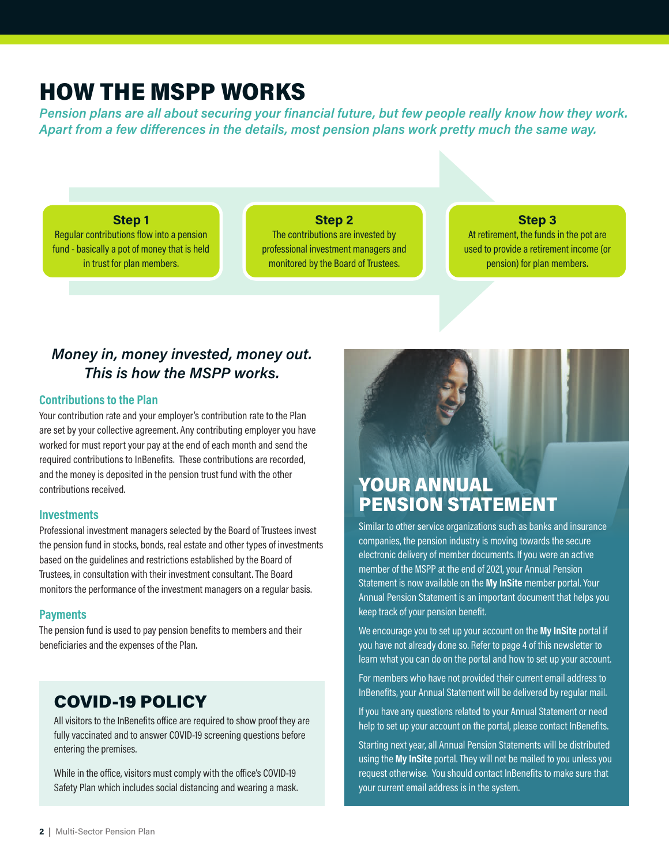# HOW THE MSPP WORKS

*Pension plans are all about securing your financial future, but few people really know how they work. Apart from a few differences in the details, most pension plans work pretty much the same way.* 

**Step 1**

Regular contributions flow into a pension fund - basically a pot of money that is held in trust for plan members.

#### **Step 2**

The contributions are invested by professional investment managers and monitored by the Board of Trustees.

#### **Step 3**

At retirement, the funds in the pot are used to provide a retirement income (or pension) for plan members.

### *Money in, money invested, money out. This is how the MSPP works.*

#### **Contributions to the Plan**

Your contribution rate and your employer's contribution rate to the Plan are set by your collective agreement. Any contributing employer you have worked for must report your pay at the end of each month and send the required contributions to InBenefits. These contributions are recorded, and the money is deposited in the pension trust fund with the other contributions received.

#### **Investments**

Professional investment managers selected by the Board of Trustees invest the pension fund in stocks, bonds, real estate and other types of investments based on the guidelines and restrictions established by the Board of Trustees, in consultation with their investment consultant. The Board monitors the performance of the investment managers on a regular basis.

#### **Payments**

The pension fund is used to pay pension benefits to members and their beneficiaries and the expenses of the Plan.

## COVID-19 POLICY

All visitors to the InBenefits office are required to show proof they are fully vaccinated and to answer COVID-19 screening questions before entering the premises.

While in the office, visitors must comply with the office's COVID-19 Safety Plan which includes social distancing and wearing a mask.

# YOUR ANNUAL PENSION STATEMENT

Similar to other service organizations such as banks and insurance companies, the pension industry is moving towards the secure electronic delivery of member documents. If you were an active member of the MSPP at the end of 2021, your Annual Pension Statement is now available on the **My InSite** member portal. Your Annual Pension Statement is an important document that helps you keep track of your pension benefit.

We encourage you to set up your account on the **My InSite** portal if you have not already done so. Refer to page 4 of this newsletter to learn what you can do on the portal and how to set up your account.

For members who have not provided their current email address to InBenefits, your Annual Statement will be delivered by regular mail.

If you have any questions related to your Annual Statement or need help to set up your account on the portal, please contact InBenefits.

Starting next year, all Annual Pension Statements will be distributed using the **My InSite** portal. They will not be mailed to you unless you request otherwise. You should contact InBenefits to make sure that your current email address is in the system.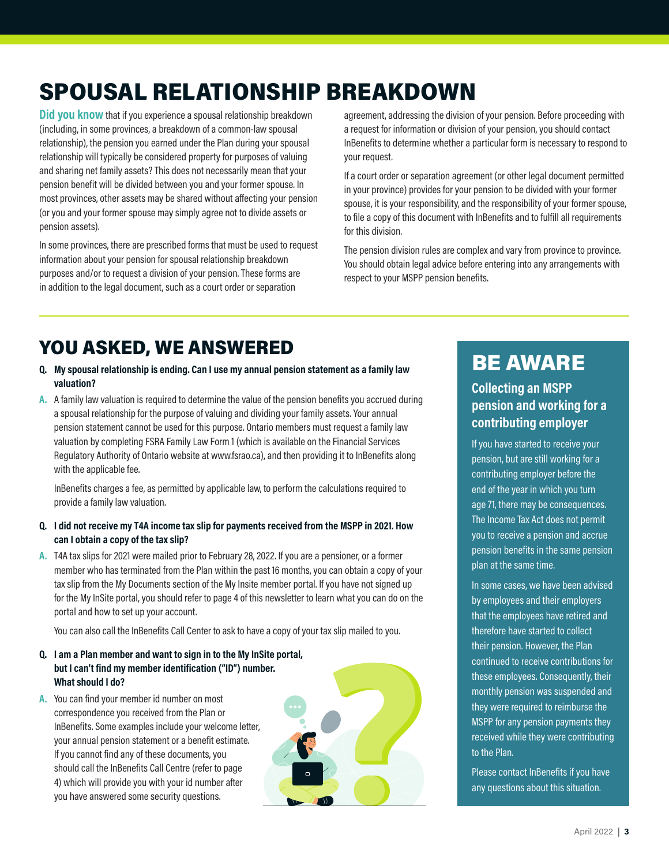# SPOUSAL RELATIONSHIP BREAKDOWN

**Did you know** that if you experience a spousal relationship breakdown (including, in some provinces, a breakdown of a common-law spousal relationship), the pension you earned under the Plan during your spousal relationship will typically be considered property for purposes of valuing and sharing net family assets? This does not necessarily mean that your pension benefit will be divided between you and your former spouse. In most provinces, other assets may be shared without affecting your pension (or you and your former spouse may simply agree not to divide assets or pension assets).

In some provinces, there are prescribed forms that must be used to request information about your pension for spousal relationship breakdown purposes and/or to request a division of your pension. These forms are in addition to the legal document, such as a court order or separation

agreement, addressing the division of your pension. Before proceeding with a request for information or division of your pension, you should contact InBenefits to determine whether a particular form is necessary to respond to your request.

If a court order or separation agreement (or other legal document permitted in your province) provides for your pension to be divided with your former spouse, it is your responsibility, and the responsibility of your former spouse, to file a copy of this document with InBenefits and to fulfill all requirements for this division.

The pension division rules are complex and vary from province to province. You should obtain legal advice before entering into any arrangements with respect to your MSPP pension benefits.

# YOU ASKED, WE ANSWERED

#### **Q. My spousal relationship is ending. Can I use my annual pension statement as a family law valuation?**

**A.** A family law valuation is required to determine the value of the pension benefits you accrued during a spousal relationship for the purpose of valuing and dividing your family assets. Your annual pension statement cannot be used for this purpose. Ontario members must request a family law valuation by completing FSRA Family Law Form 1 (which is available on the Financial Services Regulatory Authority of Ontario website at www.fsrao.ca), and then providing it to InBenefits along with the applicable fee.

InBenefits charges a fee, as permitted by applicable law, to perform the calculations required to provide a family law valuation.

#### **Q. I did not receive my T4A income tax slip for payments received from the MSPP in 2021. How can I obtain a copy of the tax slip?**

**A.** T4A tax slips for 2021 were mailed prior to February 28, 2022. If you are a pensioner, or a former member who has terminated from the Plan within the past 16 months, you can obtain a copy of your tax slip from the My Documents section of the My Insite member portal. If you have not signed up for the My InSite portal, you should refer to page 4 of this newsletter to learn what you can do on the portal and how to set up your account.

You can also call the InBenefits Call Center to ask to have a copy of your tax slip mailed to you.

#### **Q. I am a Plan member and want to sign in to the My InSite portal, but I can't find my member identification ("ID") number. What should I do?**

**A.** You can find your member id number on most correspondence you received from the Plan or InBenefits. Some examples include your welcome letter, your annual pension statement or a benefit estimate. If you cannot find any of these documents, you should call the InBenefits Call Centre (refer to page 4) which will provide you with your id number after you have answered some security questions.

# BE AWARE

#### **Collecting an MSPP pension and working for a contributing employer**

If you have started to receive your pension, but are still working for a contributing employer before the end of the year in which you turn age 71, there may be consequences. The Income Tax Act does not permit you to receive a pension and accrue pension benefits in the same pension plan at the same time.

In some cases, we have been advised by employees and their employers that the employees have retired and therefore have started to collect their pension. However, the Plan continued to receive contributions for these employees. Consequently, their monthly pension was suspended and they were required to reimburse the MSPP for any pension payments they received while they were contributing to the Plan.

Please contact InBenefits if you have any questions about this situation.